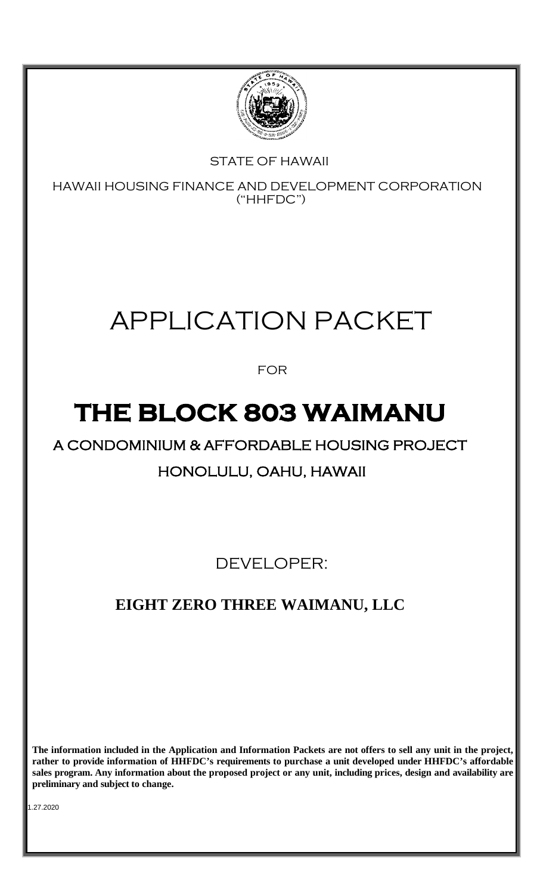

# STATE OF HAWAII

HAWAII HOUSING FINANCE AND DEVELOPMENT CORPORATION ("HHFDC")

# APPLICATION PACKET

FOR

# **THE BLOCK 803 WAIMANU**

# A CONDOMINIUM & AFFORDABLE HOUSING PROJECT HONOLULU, OAHU, HAWAII

DEVELOPER:

# **EIGHT ZERO THREE WAIMANU, LLC**

**The information included in the Application and Information Packets are not offers to sell any unit in the project, rather to provide information of HHFDC's requirements to purchase a unit developed under HHFDC's affordable sales program. Any information about the proposed project or any unit, including prices, design and availability are preliminary and subject to change.**

1.27.2020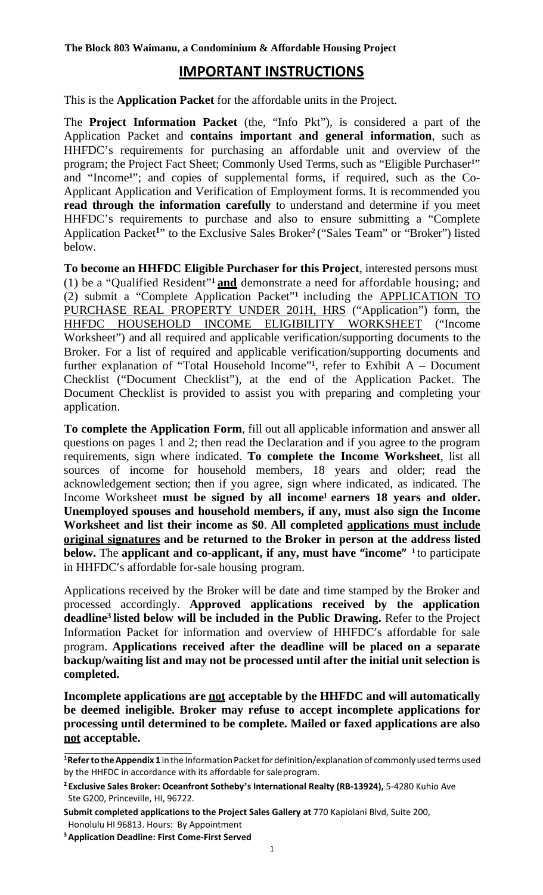## **IMPORTANT INSTRUCTIONS**

This is the **Application Packet** for the affordable units in the Project.

The **Project Information Packet** (the, "Info Pkt"), is considered a part of the Application Packet and **contains important and general information**, such as HHFDC's requirements for purchasing an affordable unit and overview of the program; the Project Fact Sheet; Commonly Used Terms, such as "Eligible Purchaser**1**" and "Income**1**"; and copies of supplemental forms, if required, such as the Co-Applicant Application and Verification of Employment forms. It is recommended you **read through the information carefully** to understand and determine if you meet HHFDC's requirements to purchase and also to ensure submitting a "Complete Application Packet**<sup>1</sup>** " to the Exclusive Sales Broker**2** ("Sales Team" or "Broker") listed below.

**To become an HHFDC Eligible Purchaser for this Project**, interested persons must (1) be a "Qualified Resident"**<sup>1</sup> and** demonstrate a need for affordable housing; and (2) submit a "Complete Application Packet"**1** including the APPLICATION TO PURCHASE REAL PROPERTY UNDER 201H, HRS ("Application") form, the HHFDC HOUSEHOLD INCOME ELIGIBILITY WORKSHEET ("Income Worksheet") and all required and applicable verification/supporting documents to the Broker. For a list of required and applicable verification/supporting documents and further explanation of "Total Household Income"**1**, refer to Exhibit A – Document Checklist ("Document Checklist"), at the end of the Application Packet. The Document Checklist is provided to assist you with preparing and completing your application.

**To complete the Application Form**, fill out all applicable information and answer all questions on pages 1 and 2; then read the Declaration and if you agree to the program requirements, sign where indicated. **To complete the Income Worksheet**, list all sources of income for household members, 18 years and older; read the acknowledgement section; then if you agree, sign where indicated, as indicated. The Income Worksheet **must be signed by all income<sup>1</sup> earners 18 years and older. Unemployed spouses and household members, if any, must also sign the Income Worksheet and list their income as \$0**. **All completed applications must include original signatures and be returned to the Broker in person at the address listed below.** The **applicant and co-applicant, if any, must have "income" 1** to participate in HHFDC's affordable for-sale housing program.

Applications received by the Broker will be date and time stamped by the Broker and processed accordingly. **Approved applications received by the application deadline3 listed below will be included in the Public Drawing.** Refer to the Project Information Packet for information and overview of HHFDC's affordable for sale program. **Applications received after the deadline will be placed on a separate backup/waiting list and may not be processed until after the initial unit selection is completed.**

**Incomplete applications are not acceptable by the HHFDC and will automatically be deemed ineligible. Broker may refuse to accept incomplete applications for processing until determined to be complete. Mailed or faxed applications are also not acceptable.**

<sup>&</sup>lt;sup>1</sup>Refer to the Appendix 1 in the Information Packet for definition/explanation of commonly used terms used by the HHFDC in accordance with its affordable for saleprogram.

**<sup>2</sup> Exclusive Sales Broker: Oceanfront Sotheby's International Realty (RB-13924),** 5-4280 Kuhio Ave Ste G200, Princeville, HI, 96722.

**Submit completed applications to the Project Sales Gallery at** 770 Kapiolani Blvd, Suite 200, Honolulu HI 96813. Hours: By Appointment

**<sup>3</sup> Application Deadline: First Come-First Served**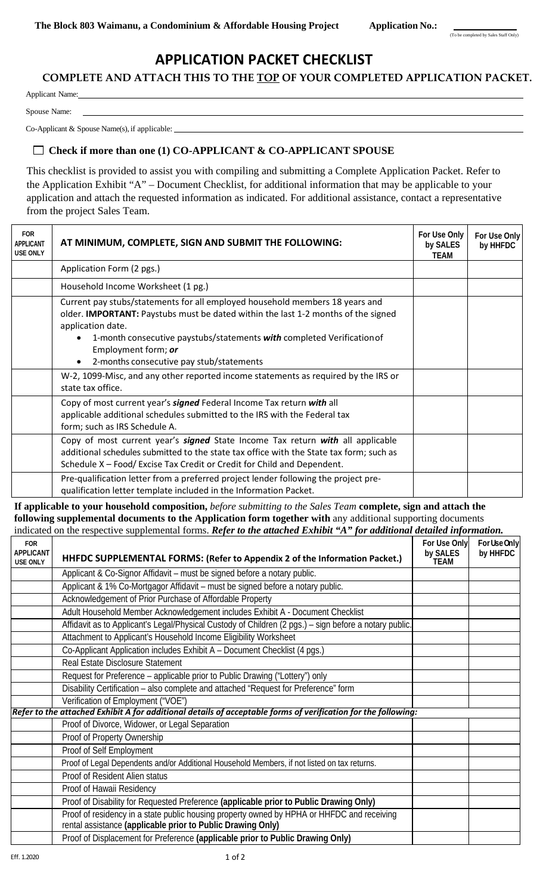## **APPLICATION PACKET CHECKLIST**

### **COMPLETE AND ATTACH THIS TO THE TOP OF YOUR COMPLETED APPLICATION PACKET.**

Applicant Name:

Spouse Name:

Co-Applicant & Spouse Name(s), if applicable:

#### **Check if more than one (1) CO-APPLICANT & CO-APPLICANT SPOUSE**

This checklist is provided to assist you with compiling and submitting a Complete Application Packet. Refer to the Application Exhibit "A" – Document Checklist, for additional information that may be applicable to your application and attach the requested information as indicated. For additional assistance, contact a representative from the project Sales Team.

| <b>FOR</b><br><b>APPLICANT</b><br><b>USE ONLY</b> | AT MINIMUM, COMPLETE, SIGN AND SUBMIT THE FOLLOWING:                                                                                                                                                                                                                                                                                       | For Use Only<br>by SALES<br>TEAM | For Use Only<br>by HHFDC |
|---------------------------------------------------|--------------------------------------------------------------------------------------------------------------------------------------------------------------------------------------------------------------------------------------------------------------------------------------------------------------------------------------------|----------------------------------|--------------------------|
|                                                   | Application Form (2 pgs.)                                                                                                                                                                                                                                                                                                                  |                                  |                          |
|                                                   | Household Income Worksheet (1 pg.)                                                                                                                                                                                                                                                                                                         |                                  |                          |
|                                                   | Current pay stubs/statements for all employed household members 18 years and<br>older. <b>IMPORTANT:</b> Paystubs must be dated within the last 1-2 months of the signed<br>application date.<br>1-month consecutive paystubs/statements with completed Verification of<br>Employment form; or<br>2-months consecutive pay stub/statements |                                  |                          |
|                                                   | W-2, 1099-Misc, and any other reported income statements as required by the IRS or<br>state tax office.                                                                                                                                                                                                                                    |                                  |                          |
|                                                   | Copy of most current year's <b>signed</b> Federal Income Tax return with all<br>applicable additional schedules submitted to the IRS with the Federal tax<br>form; such as IRS Schedule A.                                                                                                                                                 |                                  |                          |
|                                                   | Copy of most current year's <b>signed</b> State Income Tax return with all applicable<br>additional schedules submitted to the state tax office with the State tax form; such as<br>Schedule X - Food/Excise Tax Credit or Credit for Child and Dependent.                                                                                 |                                  |                          |
|                                                   | Pre-qualification letter from a preferred project lender following the project pre-<br>qualification letter template included in the Information Packet.                                                                                                                                                                                   |                                  |                          |

**If applicable to your household composition,** *before submitting to the Sales Team* **complete, sign and attach the following supplemental documents to the Application form together with** any additional supporting documents indicated on the respective supplemental forms. *Refer to the attached Exhibit "A" for additional detailed information.*

| <b>FOR</b><br><b>APPLICANT</b><br><b>USE ONLY</b> | HHFDC SUPPLEMENTAL FORMS: (Refer to Appendix 2 of the Information Packet.)                                                                                | For Use Only<br>by SALES<br>TFAM | For Use Only<br>by HHFDC |
|---------------------------------------------------|-----------------------------------------------------------------------------------------------------------------------------------------------------------|----------------------------------|--------------------------|
|                                                   | Applicant & Co-Signor Affidavit - must be signed before a notary public.                                                                                  |                                  |                          |
|                                                   | Applicant & 1% Co-Mortgagor Affidavit - must be signed before a notary public.                                                                            |                                  |                          |
|                                                   | Acknowledgement of Prior Purchase of Affordable Property                                                                                                  |                                  |                          |
|                                                   | Adult Household Member Acknowledgement includes Exhibit A - Document Checklist                                                                            |                                  |                          |
|                                                   | Affidavit as to Applicant's Legal/Physical Custody of Children (2 pgs.) - sign before a notary public.                                                    |                                  |                          |
|                                                   | Attachment to Applicant's Household Income Eligibility Worksheet                                                                                          |                                  |                          |
|                                                   | Co-Applicant Application includes Exhibit A - Document Checklist (4 pgs.)                                                                                 |                                  |                          |
|                                                   | Real Estate Disclosure Statement                                                                                                                          |                                  |                          |
|                                                   | Request for Preference - applicable prior to Public Drawing ("Lottery") only                                                                              |                                  |                          |
|                                                   | Disability Certification - also complete and attached "Request for Preference" form                                                                       |                                  |                          |
|                                                   | Verification of Employment ("VOE")                                                                                                                        |                                  |                          |
|                                                   | Refer to the attached Exhibit A for additional details of acceptable forms of verification for the following:                                             |                                  |                          |
|                                                   | Proof of Divorce, Widower, or Legal Separation                                                                                                            |                                  |                          |
|                                                   | Proof of Property Ownership                                                                                                                               |                                  |                          |
|                                                   | Proof of Self Employment                                                                                                                                  |                                  |                          |
|                                                   | Proof of Legal Dependents and/or Additional Household Members, if not listed on tax returns.                                                              |                                  |                          |
|                                                   | Proof of Resident Alien status                                                                                                                            |                                  |                          |
|                                                   | Proof of Hawaii Residency                                                                                                                                 |                                  |                          |
|                                                   | Proof of Disability for Requested Preference (applicable prior to Public Drawing Only)                                                                    |                                  |                          |
|                                                   | Proof of residency in a state public housing property owned by HPHA or HHFDC and receiving<br>rental assistance (applicable prior to Public Drawing Only) |                                  |                          |
|                                                   | Proof of Displacement for Preference (applicable prior to Public Drawing Only)                                                                            |                                  |                          |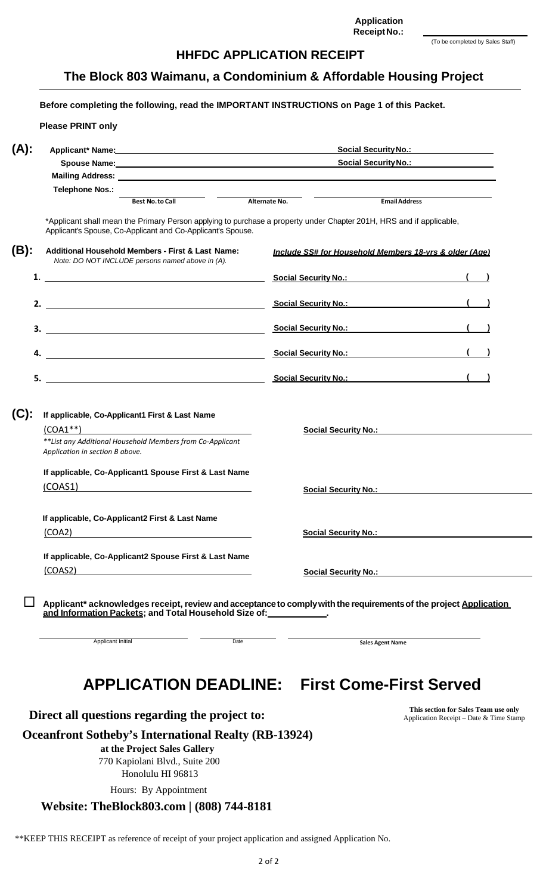$2 of 2$ 

| (To be completed by Sales Staff) |  |
|----------------------------------|--|
|----------------------------------|--|

**Application ReceiptNo.:**

#### **HHFDC APPLICATION RECEIPT**

**The Block 803 Waimanu, a Condominium & Affordable Housing Project**

**Before completing the following, read the IMPORTANT INSTRUCTIONS on Page 1 of this Packet. (A): Please PRINT only Applicant\* Name: Social SecurityNo.: Spouse Name: Social SecurityNo.: Mailing Address:**  $T$ elephone **Nos.: Best No.to Call Alternate No. EmailAddress** \*Applicant shall mean the Primary Person applying to purchase a property under Chapter 201H, HRS and if applicable, Applicant's Spouse, Co-Applicant and Co-Applicant's Spouse. **(B): Additional Household Members - First & Last Name:** *Note: DO NOT INCLUDE persons named above in (A).* **1**. *Include SS# for Household Members 18-yrs & older (Age)* **Social Security No.: ( ) 2. Social Security No.: ( ) 3. Social Security No.: ( ) 4. Social Security No.: ( ) 5. Social Security No.: ( ) (C): If applicable, Co-Applicant1 First & Last Name** (COA1\*\*) *\*\*List any Additional Household Members from Co-Applicant Application in section B above.* **If applicable, Co-Applicant1 Spouse First & Last Name** (COAS1) **Social Security No.: Social Security No.: If applicable, Co-Applicant2 First & Last Name** (COA2) **Social Security No.: If applicable, Co-Applicant2 Spouse First & Last Name** (COAS2) **Social Security No.: Applicant\* acknowledges receipt, review andacceptanceto complywiththe requirementsof the project Application and Information Packets; and Total Household Size of: .**

# **APPLICATION DEADLINE: First Come-First Served**

**Direct all questions regarding the project to:** This section for Sales Team use only

Applicant Initial

#### **Oceanfront Sotheby's International Realty (RB-13924)**

**at the Project Sales Gallery** 770 Kapiolani Blvd., Suite 200 Honolulu HI 96813

Hours: By Appointment

#### **Website: TheBlock803.com | (808) 744-8181**

**Sales Agent Name**

Application Receipt – Date & Time Stamp

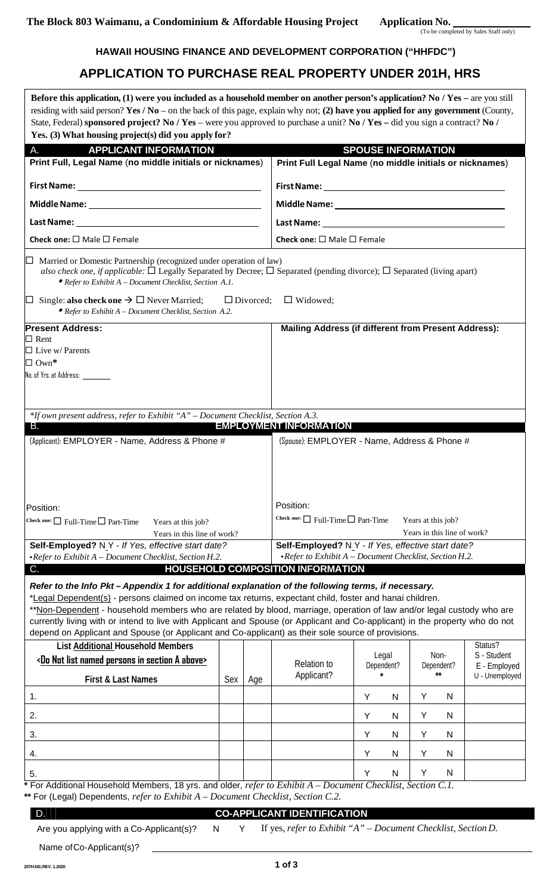#### **HAWAII HOUSING FINANCE AND DEVELOPMENT CORPORATION ("HHFDC")**

## **APPLICATION TO PURCHASE REAL PROPERTY UNDER 201H, HRS**

| Before this application, (1) were you included as a household member on another person's application? No / Yes – are you still<br>residing with said person? Yes / No – on the back of this page, explain why not; (2) have you applied for any government (County,<br>State, Federal) sponsored project? No / Yes – were you approved to purchase a unit? No / Yes – did you sign a contract? No /<br>Yes. (3) What housing project(s) did you apply for?                                                                                                                                                                 |     |                  |                                                                                                      |                           |                     |                             |   |                                |
|----------------------------------------------------------------------------------------------------------------------------------------------------------------------------------------------------------------------------------------------------------------------------------------------------------------------------------------------------------------------------------------------------------------------------------------------------------------------------------------------------------------------------------------------------------------------------------------------------------------------------|-----|------------------|------------------------------------------------------------------------------------------------------|---------------------------|---------------------|-----------------------------|---|--------------------------------|
| <b>APPLICANT INFORMATION</b><br>A.                                                                                                                                                                                                                                                                                                                                                                                                                                                                                                                                                                                         |     |                  |                                                                                                      | <b>SPOUSE INFORMATION</b> |                     |                             |   |                                |
| Print Full, Legal Name (no middle initials or nicknames)                                                                                                                                                                                                                                                                                                                                                                                                                                                                                                                                                                   |     |                  | Print Full Legal Name (no middle initials or nicknames)                                              |                           |                     |                             |   |                                |
|                                                                                                                                                                                                                                                                                                                                                                                                                                                                                                                                                                                                                            |     |                  |                                                                                                      |                           |                     |                             |   |                                |
|                                                                                                                                                                                                                                                                                                                                                                                                                                                                                                                                                                                                                            |     |                  |                                                                                                      |                           |                     |                             |   |                                |
|                                                                                                                                                                                                                                                                                                                                                                                                                                                                                                                                                                                                                            |     |                  |                                                                                                      |                           |                     |                             |   |                                |
| Check one: $\square$ Male $\square$ Female                                                                                                                                                                                                                                                                                                                                                                                                                                                                                                                                                                                 |     |                  | Check one: $\square$ Male $\square$ Female                                                           |                           |                     |                             |   |                                |
| $\Box$ Married or Domestic Partnership (recognized under operation of law)<br>also check one, if applicable: $\Box$ Legally Separated by Decree; $\Box$ Separated (pending divorce); $\Box$ Separated (living apart)<br>$\bullet$ Refer to Exhibit A – Document Checklist, Section A.1.                                                                                                                                                                                                                                                                                                                                    |     |                  |                                                                                                      |                           |                     |                             |   |                                |
| $\Box$ Single: also check one $\rightarrow$ $\Box$ Never Married;<br>◆ Refer to Exhibit A – Document Checklist, Section A.2.                                                                                                                                                                                                                                                                                                                                                                                                                                                                                               |     | $\Box$ Divorced; | $\Box$ Widowed:                                                                                      |                           |                     |                             |   |                                |
| <b>Present Address:</b><br>$\Box$ Rent<br>$\Box$ Live w/ Parents<br>$\Box$ Own*<br>No. of Yrs. at Address:                                                                                                                                                                                                                                                                                                                                                                                                                                                                                                                 |     |                  | Mailing Address (if different from Present Address):                                                 |                           |                     |                             |   |                                |
| *If own present address, refer to Exhibit "A" - Document Checklist, Section A.3.<br>B.<br>(Applicant): EMPLOYER - Name, Address & Phone #                                                                                                                                                                                                                                                                                                                                                                                                                                                                                  |     |                  | <b>EMPLOYMENT INFORMATION</b><br>(Spouse): EMPLOYER - Name, Address & Phone #                        |                           |                     |                             |   |                                |
| Position:                                                                                                                                                                                                                                                                                                                                                                                                                                                                                                                                                                                                                  |     |                  | Position:                                                                                            |                           |                     |                             |   |                                |
| Check one: $\Box$ Full-Time $\Box$ Part-Time<br>Years at this job?                                                                                                                                                                                                                                                                                                                                                                                                                                                                                                                                                         |     |                  | Check one: $\Box$ Full-Time $\Box$ Part-Time                                                         |                           |                     | Years at this job?          |   |                                |
| Years in this line of work?                                                                                                                                                                                                                                                                                                                                                                                                                                                                                                                                                                                                |     |                  | Self-Employed? N Y - If Yes, effective start date?                                                   |                           |                     | Years in this line of work? |   |                                |
| Self-Employed? N Y - If Yes, effective start date?<br>$\bullet$ Refer to Exhibit A - Document Checklist, Section H.2.                                                                                                                                                                                                                                                                                                                                                                                                                                                                                                      |     |                  | • Refer to Exhibit $A$ – Document Checklist, Section H.2.                                            |                           |                     |                             |   |                                |
| C.                                                                                                                                                                                                                                                                                                                                                                                                                                                                                                                                                                                                                         |     |                  | <b>HOUSEHOLD COMPOSITION INFORMATION</b>                                                             |                           |                     |                             |   |                                |
| Refer to the Info Pkt - Appendix 1 for additional explanation of the following terms, if necessary.<br>*Legal Dependent(s) - persons claimed on income tax returns, expectant child, foster and hanai children.<br>**Non-Dependent - household members who are related by blood, marriage, operation of law and/or legal custody who are<br>currently living with or intend to live with Applicant and Spouse (or Applicant and Co-applicant) in the property who do not<br>depend on Applicant and Spouse (or Applicant and Co-applicant) as their sole source of provisions.<br><b>List Additional Household Members</b> |     |                  |                                                                                                      |                           |                     | Non-                        |   | Status?<br>S - Student         |
| <do a="" above="" in="" list="" named="" not="" persons="" section=""><br/>First &amp; Last Names</do>                                                                                                                                                                                                                                                                                                                                                                                                                                                                                                                     | Sex | Age              | <b>Relation to</b><br>Applicant?                                                                     |                           | Legal<br>Dependent? | Dependent?                  |   | E - Employed<br>U - Unemployed |
| 1.                                                                                                                                                                                                                                                                                                                                                                                                                                                                                                                                                                                                                         |     |                  |                                                                                                      | Y                         | N                   | Y                           | N |                                |
|                                                                                                                                                                                                                                                                                                                                                                                                                                                                                                                                                                                                                            |     |                  |                                                                                                      |                           |                     |                             |   |                                |
| 2.                                                                                                                                                                                                                                                                                                                                                                                                                                                                                                                                                                                                                         |     |                  |                                                                                                      | Υ                         | N                   | Y                           | N |                                |
| 3.                                                                                                                                                                                                                                                                                                                                                                                                                                                                                                                                                                                                                         |     |                  |                                                                                                      | Y                         | N                   | Y                           | N |                                |
| 4.                                                                                                                                                                                                                                                                                                                                                                                                                                                                                                                                                                                                                         |     |                  |                                                                                                      | Υ                         | N                   | Y                           | N |                                |
| 5.                                                                                                                                                                                                                                                                                                                                                                                                                                                                                                                                                                                                                         |     |                  |                                                                                                      | Y                         | N                   | Y                           | N |                                |
| * For Additional Household Members, 18 yrs. and older, refer to Exhibit $A - Document \ Checklist, Section C.1.$                                                                                                                                                                                                                                                                                                                                                                                                                                                                                                           |     |                  |                                                                                                      |                           |                     |                             |   |                                |
| ** For (Legal) Dependents, refer to Exhibit $A$ – Document Checklist, Section C.2.                                                                                                                                                                                                                                                                                                                                                                                                                                                                                                                                         |     |                  |                                                                                                      |                           |                     |                             |   |                                |
| D.                                                                                                                                                                                                                                                                                                                                                                                                                                                                                                                                                                                                                         | N   | Y                | <b>CO-APPLICANT IDENTIFICATION</b><br>If yes, refer to Exhibit "A" $-Document$ Checklist, Section D. |                           |                     |                             |   |                                |
| Are you applying with a Co-Applicant(s)?                                                                                                                                                                                                                                                                                                                                                                                                                                                                                                                                                                                   |     |                  |                                                                                                      |                           |                     |                             |   |                                |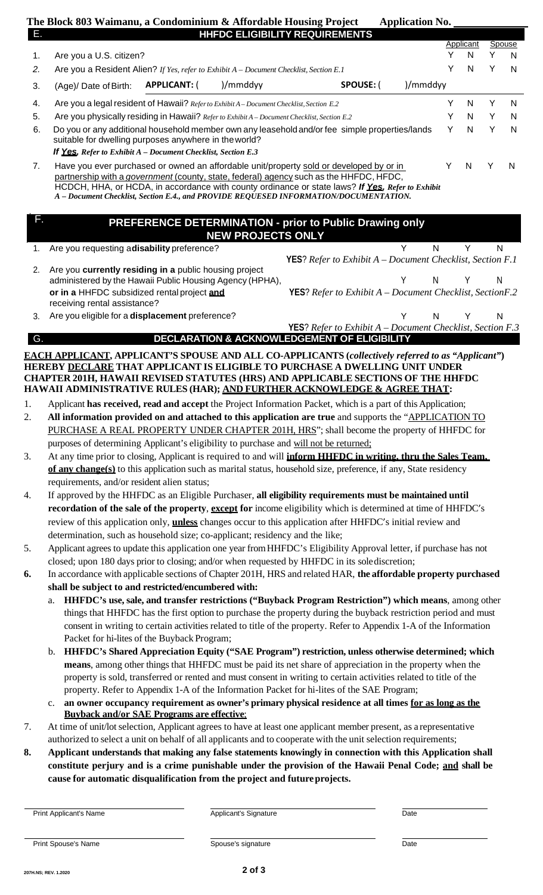|    | The Block 803 Waimanu, a Condominium & Affordable Housing Project |                     |                                                                                          |           | <b>Application No.</b> |           |        |                |
|----|-------------------------------------------------------------------|---------------------|------------------------------------------------------------------------------------------|-----------|------------------------|-----------|--------|----------------|
| Е. |                                                                   |                     | <b>HHFDC ELIGIBILITY REQUIREMENTS</b>                                                    |           |                        |           |        |                |
|    |                                                                   |                     |                                                                                          |           |                        | Applicant | Spouse |                |
|    | Are you a U.S. citizen?                                           |                     |                                                                                          |           |                        | N.        |        | N              |
| 2. |                                                                   |                     | Are you a Resident Alien? If Yes, refer to Exhibit $A$ – Document Checklist, Section E.1 |           |                        | N.        |        | $\overline{N}$ |
| 3. | (Age)/ Date of Birth:                                             | <b>APPLICANT: (</b> | )/mmddvv                                                                                 | SPOUSE: ( | )/mmddyy               |           |        |                |
|    |                                                                   |                     |                                                                                          |           |                        |           |        |                |

4. Are you a legal resident of Hawaii? *Referto Exhibit A– Document Checklist, Section E.2* Y N Y N 5. Are you physically residing in Hawaii? *Referto Exhibit A – Document Checklist, Section E.2* Y N Y N

6. Do you or any additional household member own any leaseholdand/or fee simple properties/lands suitable for dwelling purposes anywhere in theworld? *If Yes, Refer to Exhibit A – Document Checklist, Section E.3* Y N Y N

7. Have you ever purchased or owned an affordable unit/property sold or developed by or in partnership with a *government* (county, state, federal) agency such as the HHFDC, HFDC, HCDCH, HHA, or HCDA, in accordance with county ordinance or state laws? *If Yes, Refer to Exhibit A – Document Checklist, Section E.4., and PROVIDE REQUESED INFORMATION/DOCUMENTATION.* Y N Y N

### **PREFERENCE DETERMINATION - prior to Public Drawing only NEW PROJECTS ONLY**

1. Are you requesting a**disability** preference? Network and the set of the set of the set of the set of the set of the set of the set of the set of the set of the set of the set of the set of the set of the set of the set

F.

|                                                           | <b>YES?</b> Refer to Exhibit $A$ – Document Checklist, Section F.1   |    |       |  |
|-----------------------------------------------------------|----------------------------------------------------------------------|----|-------|--|
| 2. Are you currently residing in a public housing project |                                                                      |    |       |  |
| administered by the Hawaii Public Housing Agency (HPHA),  |                                                                      |    | N Y N |  |
| or in a HHFDC subsidized rental project and               | <b>YES?</b> Refer to Exhibit $A$ – Document Checklist, Section $F.2$ |    |       |  |
| receiving rental assistance?                              |                                                                      |    |       |  |
| Are you eligible for a displacement preference?           |                                                                      | N. |       |  |

**YES**? *Refer to Exhibit A – Document Checklist, Section F.3* G. **DECLARATION & ACKNOWLEDGEMENT OF ELIGIBILITY**

#### **EACH APPLICANT, APPLICANT'S SPOUSE AND ALL CO-APPLICANTS (***collectively referred to as "Applicant"***) HEREBY DECLARE THAT APPLICANT IS ELIGIBLE TO PURCHASE A DWELLING UNIT UNDER CHAPTER 201H, HAWAII REVISED STATUTES (HRS) AND APPLICABLE SECTIONS OF THE HHFDC HAWAII ADMINISTRATIVE RULES (HAR); AND FURTHER ACKNOWLEDGE & AGREE THAT:**

- 1. Applicant **has received, read and accept** the Project Information Packet, which is a part of this Application;
- 2. **All information provided on and attached to this application are true** and supports the "APPLICATION TO PURCHASE A REAL PROPERTY UNDER CHAPTER 201H, HRS"; shall become the property of HHFDC for purposes of determining Applicant's eligibility to purchase and will not be returned;
- 3. At any time prior to closing, Applicant is required to and will **inform HHFDC in writing, thru the Sales Team, of any change(s)** to this application such as marital status, household size, preference, if any, State residency requirements, and/or resident alien status;
- 4. If approved by the HHFDC as an Eligible Purchaser, **all eligibility requirements must be maintained until recordation of the sale of the property**, **except for** income eligibility which is determined at time of HHFDC's review of this application only, **unless** changes occur to this application after HHFDC's initial review and determination, such as household size; co-applicant; residency and the like;
- 5. Applicant agrees to update this application one year fromHHFDC's Eligibility Approval letter, if purchase has not closed; upon 180 days prior to closing; and/or when requested by HHFDC in its solediscretion;
- **6.** In accordance with applicable sections of Chapter 201H, HRS and related HAR, **the affordable property purchased shall be subject to and restricted/encumbered with:**
	- a. **HHFDC's use, sale, and transfer restrictions ("Buyback Program Restriction") which means**, among other things that HHFDC has the first option to purchase the property during the buyback restriction period and must consent in writing to certain activities related to title of the property. Refer to Appendix 1-A of the Information Packet for hi-lites of the Buyback Program;
	- b. **HHFDC's Shared Appreciation Equity ("SAE Program") restriction, unless otherwise determined; which means**, among other things that HHFDC must be paid its net share of appreciation in the property when the property is sold, transferred or rented and must consent in writing to certain activities related to title of the property. Refer to Appendix 1-A of the Information Packet for hi-lites of the SAE Program;
	- c. **an owner occupancy requirement as owner's primary physical residence at all times for as long as the Buyback and/or SAE Programs are effective**;
- 7. At time of unit/lotselection, Applicant agrees to have at least one applicant member present, as a representative authorized to select a unit on behalf of all applicants and to cooperate with the unit selection requirements;
- **8. Applicant understands that making any false statements knowingly in connection with this Application shall constitute perjury and is a crime punishable under the provision of the Hawaii Penal Code; and shall be cause for automatic disqualification from the project and futureprojects.**

Print Applicant's Name **Date Applicant's Signature** Applicant's Signature **Date** Date

Print Spouse's Name

Spouse's signature

Date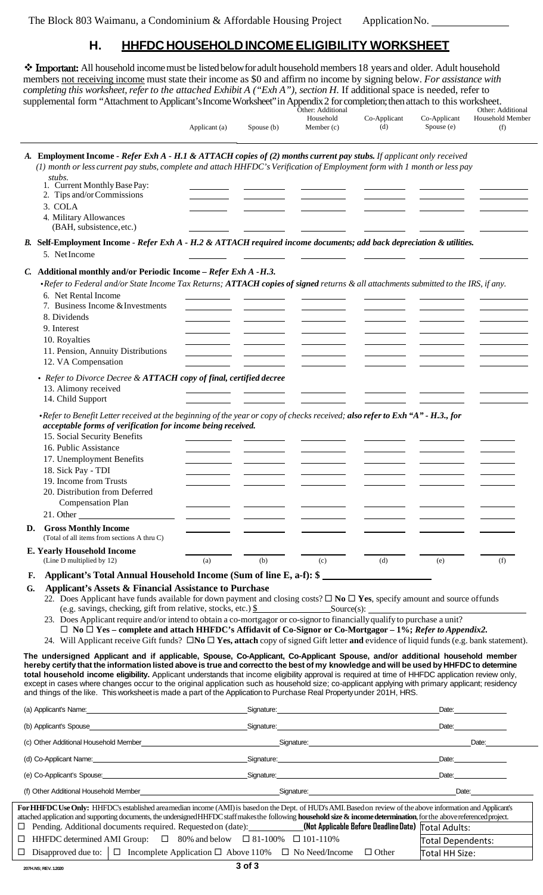## **H. HHFDC HOUSEHOLDINCOMEELIGIBILITY WORKSHEET**

| members not receiving income must state their income as \$0 and affirm no income by signing below. For assistance with<br>completing this worksheet, refer to the attached Exhibit A ("Exh A"), section H. If additional space is needed, refer to<br>supplemental form "Attachment to Applicant's Income Worksheet" in Appendix 2 for completion; then attach to this worksheet.                                                                                                                                                                                                                                                                                                                                                                                                                                                                                                                                                                                                                                                                                                                                                                                                                                                                                                                                                                                                                                                                                                              |               |            | Other: Additional<br>Household | Co-Applicant | Co-Applicant                        | Other: Additional<br>Household Member |
|------------------------------------------------------------------------------------------------------------------------------------------------------------------------------------------------------------------------------------------------------------------------------------------------------------------------------------------------------------------------------------------------------------------------------------------------------------------------------------------------------------------------------------------------------------------------------------------------------------------------------------------------------------------------------------------------------------------------------------------------------------------------------------------------------------------------------------------------------------------------------------------------------------------------------------------------------------------------------------------------------------------------------------------------------------------------------------------------------------------------------------------------------------------------------------------------------------------------------------------------------------------------------------------------------------------------------------------------------------------------------------------------------------------------------------------------------------------------------------------------|---------------|------------|--------------------------------|--------------|-------------------------------------|---------------------------------------|
|                                                                                                                                                                                                                                                                                                                                                                                                                                                                                                                                                                                                                                                                                                                                                                                                                                                                                                                                                                                                                                                                                                                                                                                                                                                                                                                                                                                                                                                                                                | Applicant (a) | Spouse (b) | Member $(c)$                   | (d)          | Spouse (e)                          | (f)                                   |
| A. Employment Income - Refer Exh A - H.1 & ATTACH copies of (2) months current pay stubs. If applicant only received<br>(1) month or less current pay stubs, complete and attach HHFDC's Verification of Employment form with 1 month or less pay<br>stubs.<br>1. Current Monthly Base Pay:<br>2. Tips and/or Commissions<br>3. COLA<br>4. Military Allowances<br>(BAH, subsistence, etc.)                                                                                                                                                                                                                                                                                                                                                                                                                                                                                                                                                                                                                                                                                                                                                                                                                                                                                                                                                                                                                                                                                                     |               |            |                                |              |                                     |                                       |
| B. Self-Employment Income - Refer Exh A - H.2 & ATTACH required income documents; add back depreciation & utilities.<br>5. NetIncome                                                                                                                                                                                                                                                                                                                                                                                                                                                                                                                                                                                                                                                                                                                                                                                                                                                                                                                                                                                                                                                                                                                                                                                                                                                                                                                                                           |               |            |                                |              |                                     |                                       |
| C. Additional monthly and/or Periodic Income - Refer Exh A - H.3.<br>•Refer to Federal and/or State Income Tax Returns; ATTACH copies of signed returns & all attachments submitted to the IRS, if any.<br>6. Net Rental Income<br>7. Business Income & Investments<br>8. Dividends<br>9. Interest<br>10. Royalties<br>11. Pension, Annuity Distributions<br>12. VA Compensation                                                                                                                                                                                                                                                                                                                                                                                                                                                                                                                                                                                                                                                                                                                                                                                                                                                                                                                                                                                                                                                                                                               |               |            |                                |              |                                     |                                       |
| • Refer to Divorce Decree & ATTACH copy of final, certified decree<br>13. Alimony received<br>14. Child Support                                                                                                                                                                                                                                                                                                                                                                                                                                                                                                                                                                                                                                                                                                                                                                                                                                                                                                                                                                                                                                                                                                                                                                                                                                                                                                                                                                                |               |            |                                |              |                                     |                                       |
| •Refer to Benefit Letter received at the beginning of the year or copy of checks received; also refer to Exh "A" - H.3., for<br>acceptable forms of verification for income being received.<br>15. Social Security Benefits<br>16. Public Assistance<br>17. Unemployment Benefits<br>18. Sick Pay - TDI<br>19. Income from Trusts<br>20. Distribution from Deferred<br><b>Compensation Plan</b><br>D. Gross Monthly Income                                                                                                                                                                                                                                                                                                                                                                                                                                                                                                                                                                                                                                                                                                                                                                                                                                                                                                                                                                                                                                                                     |               |            |                                |              |                                     |                                       |
| (Total of all items from sections A thru C)                                                                                                                                                                                                                                                                                                                                                                                                                                                                                                                                                                                                                                                                                                                                                                                                                                                                                                                                                                                                                                                                                                                                                                                                                                                                                                                                                                                                                                                    |               |            |                                |              |                                     |                                       |
| <b>E. Yearly Household Income</b><br>(Line D multiplied by 12)                                                                                                                                                                                                                                                                                                                                                                                                                                                                                                                                                                                                                                                                                                                                                                                                                                                                                                                                                                                                                                                                                                                                                                                                                                                                                                                                                                                                                                 | (a)           | (b)        | (c)                            | (d)          | (e)                                 | (f)                                   |
| Applicant's Total Annual Household Income (Sum of line E, a-f): \$<br>F.<br>Applicant's Assets & Financial Assistance to Purchase<br>G.<br>22. Does Applicant have funds available for down payment and closing costs? $\Box$ No $\Box$ Yes, specify amount and source offunds<br>(e.g. savings, checking, gift from relative, stocks, etc.) $\frac{\$}{\$}$ Source(s):<br>23. Does Applicant require and/or intend to obtain a co-mortgagor or co-signor to financially qualify to purchase a unit?<br>$\Box$ No $\Box$ Yes – complete and attach HHFDC's Affidavit of Co-Signor or Co-Mortgagor – 1%; Refer to Appendix2.<br>24. Will Applicant receive Gift funds? $\square$ No $\square$ Yes, attach copy of signed Gift letter and evidence of liquid funds (e.g. bank statement).<br>The undersigned Applicant and if applicable, Spouse, Co-Applicant, Co-Applicant Spouse, and/or additional household member<br>hereby certify that the information listed above is true and correct to the best of my knowledge and will be used by HHFDC to determine<br>total household income eligibility. Applicant understands that income eligibility approval is required at time of HHFDC application review only,<br>except in cases where changes occur to the original application such as household size; co-applicant applying with primary applicant; residency<br>and things of the like. This worksheet is made a part of the Application to Purchase Real Property under 201H, HRS. |               |            |                                |              |                                     |                                       |
| (a) Applicant's Name: example and the set of the set of the set of the set of the set of the set of the set of the set of the set of the set of the set of the set of the set of the set of the set of the set of the set of t                                                                                                                                                                                                                                                                                                                                                                                                                                                                                                                                                                                                                                                                                                                                                                                                                                                                                                                                                                                                                                                                                                                                                                                                                                                                 |               |            |                                |              |                                     | Date: <u>____________________</u>     |
|                                                                                                                                                                                                                                                                                                                                                                                                                                                                                                                                                                                                                                                                                                                                                                                                                                                                                                                                                                                                                                                                                                                                                                                                                                                                                                                                                                                                                                                                                                |               |            |                                |              |                                     | Date: Date:                           |
| (c) Other Additional Household Member <b>Example 2018</b> Signature: Signature: Capaca and Capaca Capaca Capaca Capaca Capaca Capaca Capaca Capaca Capaca Capaca Capaca Capaca Capaca Capaca Capaca Capaca Capaca Capaca Capaca Cap                                                                                                                                                                                                                                                                                                                                                                                                                                                                                                                                                                                                                                                                                                                                                                                                                                                                                                                                                                                                                                                                                                                                                                                                                                                            |               |            |                                |              |                                     |                                       |
| (d) Co-Applicant Name: Date: Determine the control of the Signature: Control of Co-Applicant Name: Date:                                                                                                                                                                                                                                                                                                                                                                                                                                                                                                                                                                                                                                                                                                                                                                                                                                                                                                                                                                                                                                                                                                                                                                                                                                                                                                                                                                                       |               |            |                                |              |                                     |                                       |
| (e) Co-Applicant's Spouse: etc. Applicant's Spouse: etc. Applicant's Spouse: etc. Applicant's Spouse:                                                                                                                                                                                                                                                                                                                                                                                                                                                                                                                                                                                                                                                                                                                                                                                                                                                                                                                                                                                                                                                                                                                                                                                                                                                                                                                                                                                          |               |            |                                |              |                                     | Date:                                 |
|                                                                                                                                                                                                                                                                                                                                                                                                                                                                                                                                                                                                                                                                                                                                                                                                                                                                                                                                                                                                                                                                                                                                                                                                                                                                                                                                                                                                                                                                                                |               |            |                                |              |                                     |                                       |
| For HHFDC Use Only: HHFDC's established area median income (AMI) is based on the Dept. of HUD's AMI. Based on review of the above information and Applicant's<br>attached application and supporting documents, the undersigned HHFDC staff makes the following household size & income determination, for the above referenced project.<br>$\Box$ Pending. Additional documents required. Requested on (date): (Not Applicable Before Deadline Date) $\Box$ and Adults:<br>$\Box$ HHFDC determined AMI Group: $\Box$ 80% and below $\Box$ 81-100% $\Box$ 101-110%<br>$\Box$ Disapproved due to: $\Box$ Incomplete Application $\Box$ Above 110% $\Box$ No Need/Income $\Box$ Other                                                                                                                                                                                                                                                                                                                                                                                                                                                                                                                                                                                                                                                                                                                                                                                                            |               |            |                                |              | Total Dependents:<br>Total HH Size: |                                       |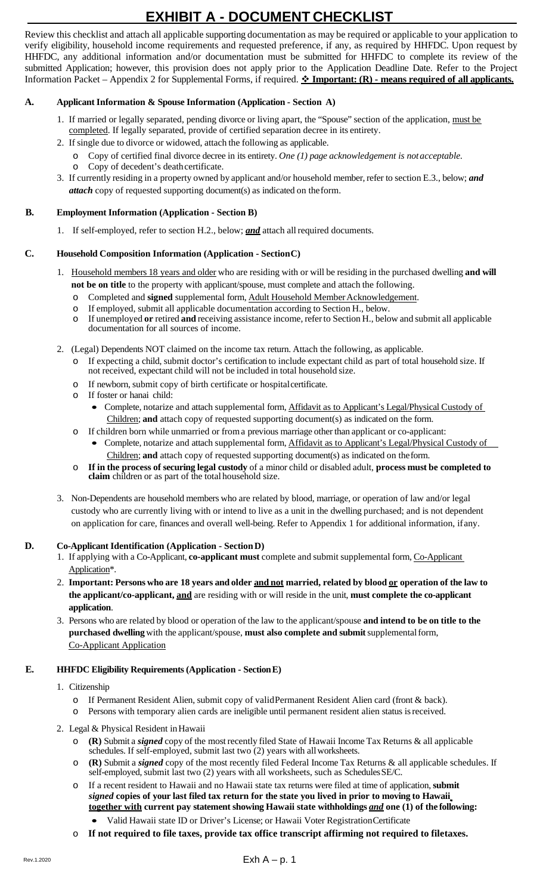# **EXHIBIT A - DOCUMENT CHECKLIST**

Review this checklist and attach all applicable supporting documentation as may be required or applicable to your application to verify eligibility, household income requirements and requested preference, if any, as required by HHFDC. Upon request by HHFDC, any additional information and/or documentation must be submitted for HHFDC to complete its review of the submitted Application; however, this provision does not apply prior to the Application Deadline Date. Refer to the Project Information Packet – Appendix 2 for Supplemental Forms, if required.  $\cdot \cdot$  **Important: (R)** - **means required of all applicants.** 

#### **A. Applicant Information & Spouse Information (Application - Section A)**

- 1. If married or legally separated, pending divorce or living apart, the "Spouse" section of the application, must be completed. If legally separated, provide of certified separation decree in its entirety.
- 2. If single due to divorce or widowed, attach the following as applicable.
	- o Copy of certified final divorce decree in its entirety. *One (1) page acknowledgement is notacceptable.*
	- o Copy of decedent's death certificate.
- 3. If currently residing in a property owned by applicant and/or household member, refer to section E.3., below; *and attach* copy of requested supporting document(s) as indicated on theform.

#### **B. Employment Information (Application - Section B)**

1. If self-employed, refer to section H.2., below; *and* attach allrequired documents.

#### **C. Household Composition Information (Application - SectionC)**

- 1. Household members 18 years and older who are residing with or will be residing in the purchased dwelling **and will not be on title** to the property with applicant/spouse, must complete and attach the following.
	- o Completed and **signed** supplemental form, Adult Household MemberAcknowledgement.
	- o If employed, submit all applicable documentation according to Section H., below.<br>
	o If unemployed **or** retired **and** receiving assistance income, refer to Section H., belo
	- If unemployed or retired and receiving assistance income, refer to Section H., below and submit all applicable documentation for all sources of income.
- 2. (Legal) Dependents NOT claimed on the income tax return. Attach the following, as applicable.
	- o If expecting a child, submit doctor's certification to include expectant child as part of total household size. If not received, expectant child will not be included in total household size.
	- o If newborn, submit copy of birth certificate or hospitalcertificate.
	- o If foster or hanai child:
		- Complete, notarize and attach supplemental form, Affidavit as to Applicant's Legal/Physical Custody of Children; **and** attach copy of requested supporting document(s) as indicated on the form.
	- o If children born while unmarried or froma previous marriage other than applicant or co-applicant:
		- Complete, notarize and attach supplemental form, Affidavit as to Applicant's Legal/Physical Custody of Children; **and** attach copy of requested supporting document(s) as indicated on theform.
	- o **If in the process of securing legal custody** of a minor child or disabled adult, **process must be completed to claim** children or as part of the total household size.
- 3. Non-Dependents are household members who are related by blood, marriage, or operation of law and/or legal custody who are currently living with or intend to live as a unit in the dwelling purchased; and is not dependent on application for care, finances and overall well-being. Refer to Appendix 1 for additional information, ifany.

#### **D. Co-Applicant Identification (Application - SectionD)**

- 1. If applying with a Co-Applicant, **co-applicant must** complete and submit supplemental form, Co-Applicant Application\*.
- 2. Important: Persons who are 18 years and older and not married, related by blood or operation of the law to **the applicant/co-applicant, and** are residing with or will reside in the unit, **must complete the co-applicant application**.
- 3. Persons who are related by blood or operation of the law to the applicant/spouse **and intend to be on title to the purchased dwelling** with the applicant/spouse, **must also complete and submit**supplementalform, Co-Applicant Application

#### **E. HHFDC Eligibility Requirements (Application - SectionE)**

- 1. Citizenship
	- o If Permanent Resident Alien, submit copy of validPermanent Resident Alien card (front & back).
	- o Persons with temporary alien cards are ineligible until permanent resident alien status isreceived.
- 2. Legal & Physical Resident inHawaii
	- o **(R)** Submit a *signed* copy of the mostrecently filed State of Hawaii Income Tax Returns & all applicable schedules. If self-employed, submit last two (2) years with allworksheets.
	- o **(R)** Submit a *signed* copy of the most recently filed Federal Income Tax Returns & all applicable schedules. If self-employed, submit last two (2) years with all worksheets, such as Schedules SE/C.
	- o If a recent resident to Hawaii and no Hawaii state tax returns were filed at time of application, **submit**  *signed* **copies of your last filed tax return for the state you lived in prior to moving to Hawaii together with current pay statement showing Hawaii state withholdings** *and* **one (1) of the following:**
		- Valid Hawaii state ID or Driver's License; or Hawaii Voter RegistrationCertificate
	- o **If not required to file taxes, provide tax office transcript affirming not required to filetaxes.**